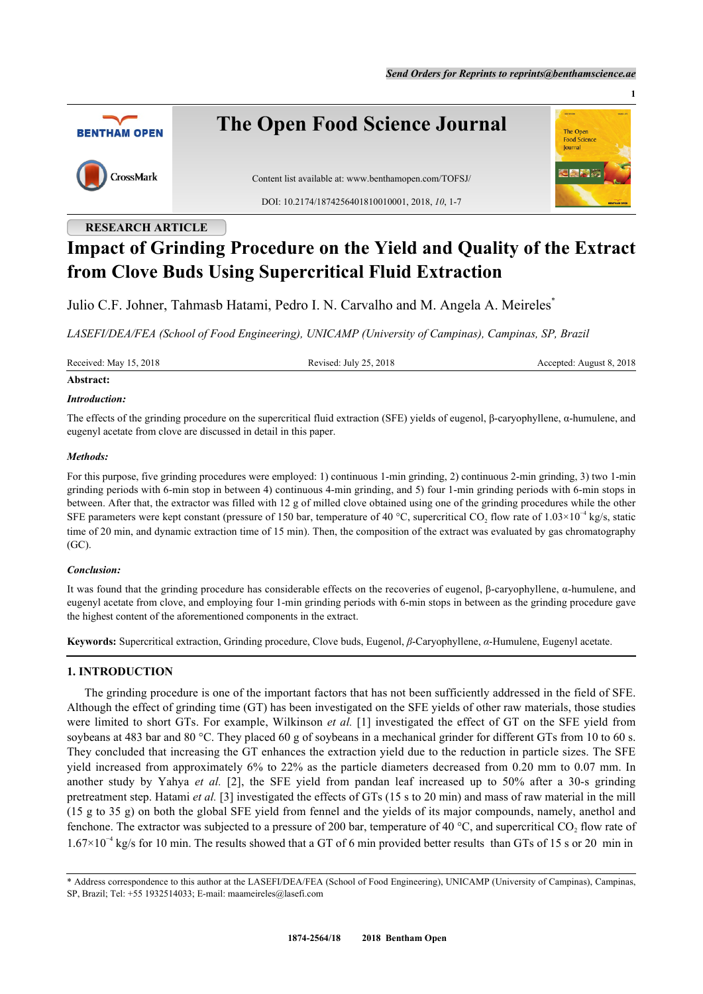

# **RESEARCH ARTICLE Impact of Grinding Procedure on the Yield and Quality of the Extract from Clove Buds Using Supercritical Fluid Extraction**

Julio C.F. Johner, Tahmasb Hatami, Pedro I. N. Carvalho and M. Angela A. Meireles[\\*](#page-0-0)

*LASEFI/DEA/FEA (School of Food Engineering), UNICAMP (University of Campinas), Campinas, SP, Brazil*

Received: May 15, 2018 Revised: July 25, 2018 Accepted: August 8, 2018

## **Abstract:**

#### *Introduction:*

The effects of the grinding procedure on the supercritical fluid extraction (SFE) yields of eugenol, β-caryophyllene, α-humulene, and eugenyl acetate from clove are discussed in detail in this paper.

#### *Methods:*

For this purpose, five grinding procedures were employed: 1) continuous 1-min grinding, 2) continuous 2-min grinding, 3) two 1-min grinding periods with 6-min stop in between 4) continuous 4-min grinding, and 5) four 1-min grinding periods with 6-min stops in between. After that, the extractor was filled with 12 g of milled clove obtained using one of the grinding procedures while the other SFE parameters were kept constant (pressure of 150 bar, temperature of 40 °C, supercritical CO<sub>2</sub> flow rate of 1.03×10<sup>-4</sup> kg/s, static time of 20 min, and dynamic extraction time of 15 min). Then, the composition of the extract was evaluated by gas chromatography (GC).

#### *Conclusion:*

It was found that the grinding procedure has considerable effects on the recoveries of eugenol, β-caryophyllene, α-humulene, and eugenyl acetate from clove, and employing four 1-min grinding periods with 6-min stops in between as the grinding procedure gave the highest content of the aforementioned components in the extract.

**Keywords:** Supercritical extraction, Grinding procedure, Clove buds, Eugenol, *β*-Caryophyllene, *α*-Humulene, Eugenyl acetate.

# **1. INTRODUCTION**

The grinding procedure is one of the important factors that has not been sufficiently addressed in the field of SFE. Although the effect of grinding time (GT) has been investigated on the SFE yields of other raw materials, those studies were limited to short GTs. For example, Wilkinson *et al.* [[1\]](#page-5-0) investigated the effect of GT on the SFE yield from soybeans at 483 bar and 80 °C. They placed 60 g of soybeans in a mechanical grinder for different GTs from 10 to 60 s. They concluded that increasing the GT enhances the extraction yield due to the reduction in particle sizes. The SFE yield increased from approximately 6% to 22% as the particle diameters decreased from 0.20 mm to 0.07 mm. In another study by Yahya *et al.* [[2\]](#page-5-1), the SFE yield from pandan leaf increased up to 50% after a 30-s grinding pretreatment step. Hatami *et al.* [[3\]](#page-6-0) investigated the effects of GTs (15 s to 20 min) and mass of raw material in the mill (15 g to 35 g) on both the global SFE yield from fennel and the yields of its major compounds, namely, anethol and fenchone. The extractor was subjected to a pressure of 200 bar, temperature of 40 °C, and supercritical CO<sub>2</sub> flow rate of 1.67×10−4 kg/s for 10 min. The results showed that a GT of 6 min provided better results than GTs of 15 s or 20 min in

<span id="page-0-0"></span><sup>\*</sup> Address correspondence to this author at the LASEFI/DEA/FEA (School of Food Engineering), UNICAMP (University of Campinas), Campinas, SP, Brazil; Tel: +55 1932514033; E-mail: [maameireles@lasefi.com](mailto:maameireles@lasefi.com)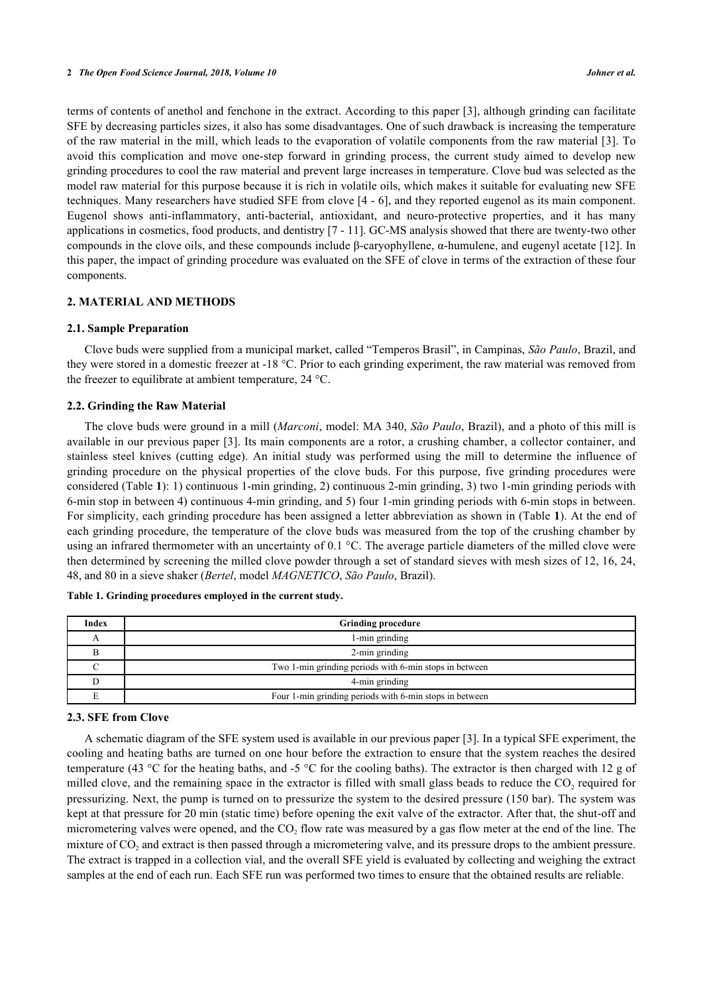terms of contents of anethol and fenchone in the extract. According to this paper [[3\]](#page-6-0), although grinding can facilitate SFE by decreasing particles sizes, it also has some disadvantages. One of such drawback is increasing the temperature of the raw material in the mill, which leads to the evaporation of volatile components from the raw material [[3](#page-6-0)]. To avoid this complication and move one-step forward in grinding process, the current study aimed to develop new grinding procedures to cool the raw material and prevent large increases in temperature. Clove bud was selected as the model raw material for this purpose because it is rich in volatile oils, which makes it suitable for evaluating new SFE techniques. Many researchers have studied SFE from clove [\[4](#page-6-1) - [6](#page-6-2)], and they reported eugenol as its main component. Eugenol shows anti-inflammatory, anti-bacterial, antioxidant, and neuro-protective properties, and it has many applications in cosmetics, food products, and dentistry [[7](#page-6-3) - [11](#page-6-4)]. GC-MS analysis showed that there are twenty-two other compounds in the clove oils, and these compounds include β-caryophyllene, α-humulene, and eugenyl acetate [\[12](#page-6-5)]. In this paper, the impact of grinding procedure was evaluated on the SFE of clove in terms of the extraction of these four components.

#### **2. MATERIAL AND METHODS**

#### **2.1. Sample Preparation**

Clove buds were supplied from a municipal market, called "Temperos Brasil", in Campinas, *São Paulo*, Brazil, and they were stored in a domestic freezer at -18 °C. Prior to each grinding experiment, the raw material was removed from the freezer to equilibrate at ambient temperature, 24 °C.

#### **2.2. Grinding the Raw Material**

The clove buds were ground in a mill (*Marconi*, model: MA 340, *São Paulo*, Brazil), and a photo of this mill is available in our previous paper [[3\]](#page-6-0). Its main components are a rotor, a crushing chamber, a collector container, and stainless steel knives (cutting edge). An initial study was performed using the mill to determine the influence of grinding procedure on the physical properties of the clove buds. For this purpose, five grinding procedures were considered (Table **[1](#page-1-0)**): 1) continuous 1-min grinding, 2) continuous 2-min grinding, 3) two 1-min grinding periods with 6-min stop in between 4) continuous 4-min grinding, and 5) four 1-min grinding periods with 6-min stops in between. For simplicity, each grinding procedure has been assigned a letter abbreviation as shown in (Table **[1](#page-1-0)**). At the end of each grinding procedure, the temperature of the clove buds was measured from the top of the crushing chamber by using an infrared thermometer with an uncertainty of 0.1 °C. The average particle diameters of the milled clove were then determined by screening the milled clove powder through a set of standard sieves with mesh sizes of 12, 16, 24, 48, and 80 in a sieve shaker (*Bertel*, model *MAGNETICO*, *São Paulo*, Brazil).

#### <span id="page-1-0"></span>**Table 1. Grinding procedures employed in the current study.**

| Index | <b>Grinding procedure</b>                               |  |  |  |  |
|-------|---------------------------------------------------------|--|--|--|--|
|       | 1-min grinding                                          |  |  |  |  |
|       | 2-min grinding                                          |  |  |  |  |
|       | Two 1-min grinding periods with 6-min stops in between  |  |  |  |  |
|       | 4-min grinding                                          |  |  |  |  |
|       | Four 1-min grinding periods with 6-min stops in between |  |  |  |  |

#### **2.3. SFE from Clove**

A schematic diagram of the SFE system used is available in our previous paper [\[3](#page-6-0)]. In a typical SFE experiment, the cooling and heating baths are turned on one hour before the extraction to ensure that the system reaches the desired temperature (43 °C for the heating baths, and -5 °C for the cooling baths). The extractor is then charged with 12 g of milled clove, and the remaining space in the extractor is filled with small glass beads to reduce the  $CO_2$  required for pressurizing. Next, the pump is turned on to pressurize the system to the desired pressure (150 bar). The system was kept at that pressure for 20 min (static time) before opening the exit valve of the extractor. After that, the shut-off and micrometering valves were opened, and the  $CO<sub>2</sub>$  flow rate was measured by a gas flow meter at the end of the line. The mixture of  $CO<sub>2</sub>$  and extract is then passed through a micrometering valve, and its pressure drops to the ambient pressure. The extract is trapped in a collection vial, and the overall SFE yield is evaluated by collecting and weighing the extract samples at the end of each run. Each SFE run was performed two times to ensure that the obtained results are reliable.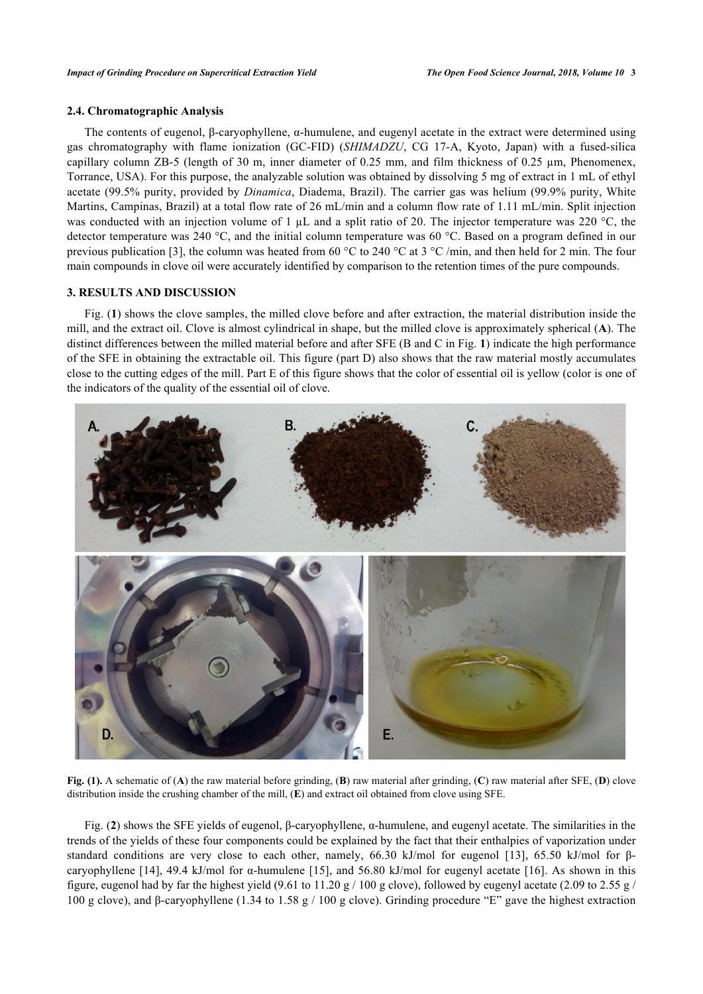### **2.4. Chromatographic Analysis**

The contents of eugenol, β-caryophyllene, α-humulene, and eugenyl acetate in the extract were determined using gas chromatography with flame ionization (GC-FID) (*SHIMADZU*, CG 17-A, Kyoto, Japan) with a fused-silica capillary column ZB-5 (length of 30 m, inner diameter of 0.25 mm, and film thickness of 0.25 µm, Phenomenex, Torrance, USA). For this purpose, the analyzable solution was obtained by dissolving 5 mg of extract in 1 mL of ethyl acetate (99.5% purity, provided by *Dinamica*, Diadema, Brazil). The carrier gas was helium (99.9% purity, White Martins, Campinas, Brazil) at a total flow rate of 26 mL/min and a column flow rate of 1.11 mL/min. Split injection was conducted with an injection volume of 1  $\mu$ L and a split ratio of 20. The injector temperature was 220 °C, the detector temperature was 240 °C, and the initial column temperature was 60 °C. Based on a program defined in our previous publication [\[3](#page-6-0)], the column was heated from 60 °C to 240 °C at 3 °C /min, and then held for 2 min. The four main compounds in clove oil were accurately identified by comparison to the retention times of the pure compounds.

## **3. RESULTS AND DISCUSSION**

Fig. (**[1](#page-2-0)**) shows the clove samples, the milled clove before and after extraction, the material distribution inside the mill, and the extract oil. Clove is almost cylindrical in shape, but the milled clove is approximately spherical (**A**). The distinct differences between the milled material before and after SFE (B and C in Fig. **[1](#page-2-0)**) indicate the high performance of the SFE in obtaining the extractable oil. This figure (part D) also shows that the raw material mostly accumulates close to the cutting edges of the mill. Part E of this figure shows that the color of essential oil is yellow (color is one of the indicators of the quality of the essential oil of clove.

<span id="page-2-0"></span>

**Fig. (1).** A schematic of (**A**) the raw material before grinding, (**B**) raw material after grinding, (**C**) raw material after SFE, (**D**) clove distribution inside the crushing chamber of the mill, (**E**) and extract oil obtained from clove using SFE.

Fig. (**[2](#page-3-0)**) shows the SFE yields of eugenol, β-caryophyllene, α-humulene, and eugenyl acetate. The similarities in the trends of the yields of these four components could be explained by the fact that their enthalpies of vaporization under standard conditions are very close to each other, namely, 66.30 kJ/mol for eugenol [\[13\]](#page-6-6), 65.50 kJ/mol for β-caryophyllene [[14\]](#page-6-7), 49.4 kJ/mol for  $\alpha$ -humulene [\[15\]](#page-6-8), and 56.80 kJ/mol for eugenyl acetate [[16\]](#page-6-9). As shown in this figure, eugenol had by far the highest yield (9.61 to 11.20 g / 100 g clove), followed by eugenyl acetate (2.09 to 2.55 g / 100 g clove), and β-caryophyllene (1.34 to 1.58 g / 100 g clove). Grinding procedure "E" gave the highest extraction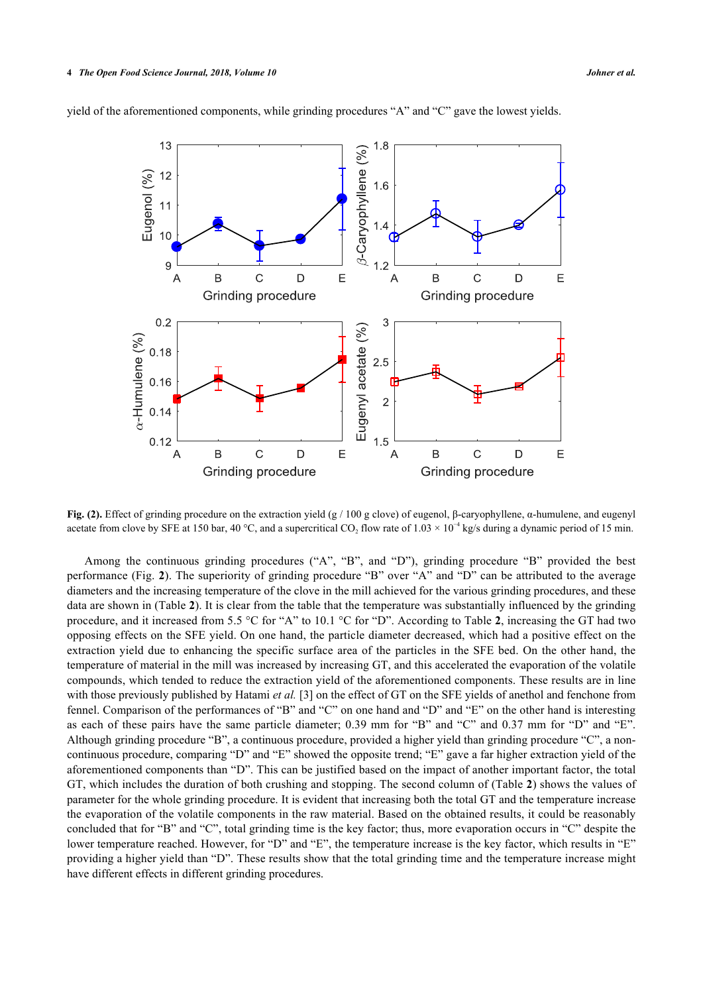

<span id="page-3-0"></span>yield of the aforementioned components, while grinding procedures "A" and "C" gave the lowest yields.

**Fig. (2).** Effect of grinding procedure on the extraction yield (g / 100 g clove) of eugenol, β-caryophyllene, α-humulene, and eugenyl acetate from clove by SFE at 150 bar, 40 °C, and a supercritical CO<sub>2</sub> flow rate of  $1.03 \times 10^{-4}$  kg/s during a dynamic period of 15 min.

Among the continuous grinding procedures ("A", "B", and "D"), grinding procedure "B" provided the best performance (Fig. **[2](#page-3-0)**). The superiority of grinding procedure "B" over "A" and "D" can be attributed to the average diameters and the increasing temperature of the clove in the mill achieved for the various grinding procedures, and these data are shown in (Table **[2](#page-4-0)**). It is clear from the table that the temperature was substantially influenced by the grinding procedure, and it increased from 5.5 °C for "A" to 10.1 °C for "D". According to Table **[2](#page-4-0)**, increasing the GT had two opposing effects on the SFE yield. On one hand, the particle diameter decreased, which had a positive effect on the extraction yield due to enhancing the specific surface area of the particles in the SFE bed. On the other hand, the temperature of material in the mill was increased by increasing GT, and this accelerated the evaporation of the volatile compounds, which tended to reduce the extraction yield of the aforementioned components. These results are in line with those previously published by Hatami *et al.* [[3\]](#page-6-0) on the effect of GT on the SFE yields of anethol and fenchone from fennel. Comparison of the performances of "B" and "C" on one hand and "D" and "E" on the other hand is interesting as each of these pairs have the same particle diameter; 0.39 mm for "B" and "C" and 0.37 mm for "D" and "E". Although grinding procedure "B", a continuous procedure, provided a higher yield than grinding procedure "C", a noncontinuous procedure, comparing "D" and "E" showed the opposite trend; "E" gave a far higher extraction yield of the aforementioned components than "D". This can be justified based on the impact of another important factor, the total GT, which includes the duration of both crushing and stopping. The second column of (Table **[2](#page-4-0)**) shows the values of parameter for the whole grinding procedure. It is evident that increasing both the total GT and the temperature increase the evaporation of the volatile components in the raw material. Based on the obtained results, it could be reasonably concluded that for "B" and "C", total grinding time is the key factor; thus, more evaporation occurs in "C" despite the lower temperature reached. However, for "D" and "E", the temperature increase is the key factor, which results in "E" providing a higher yield than "D". These results show that the total grinding time and the temperature increase might have different effects in different grinding procedures.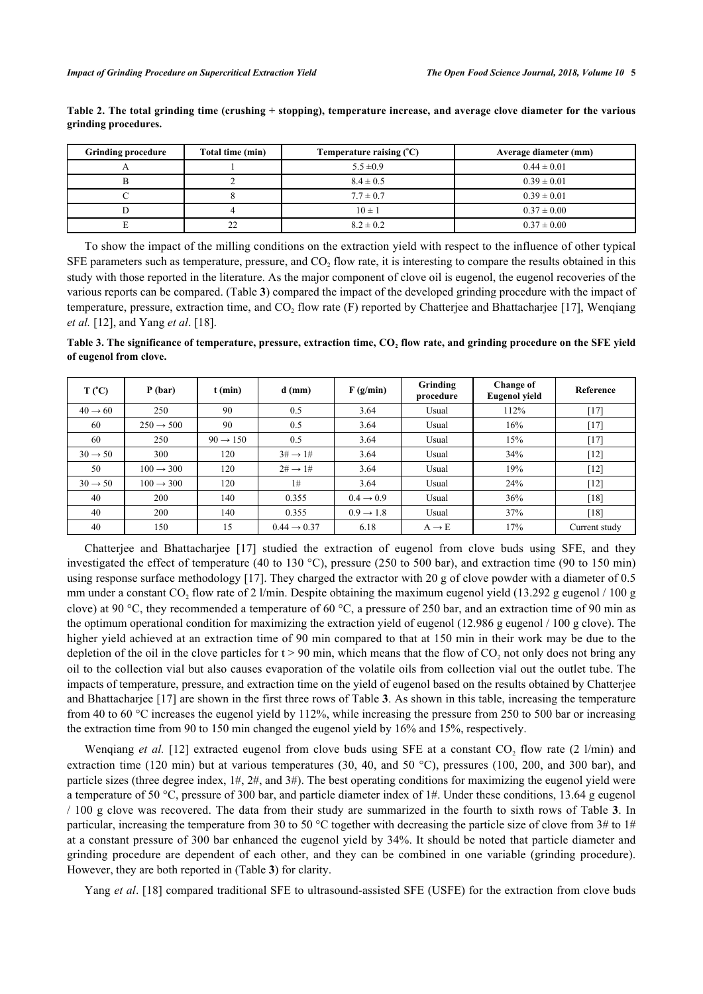| <b>Grinding procedure</b> | Total time (min) | Temperature raising $(C)$ | Average diameter (mm) |
|---------------------------|------------------|---------------------------|-----------------------|
|                           |                  | $5.5 \pm 0.9$             | $0.44 \pm 0.01$       |
|                           |                  | $8.4 \pm 0.5$             | $0.39 \pm 0.01$       |
|                           |                  | $7.7 \pm 0.7$             | $0.39 \pm 0.01$       |
|                           |                  | $10 \pm 1$                | $0.37 \pm 0.00$       |
|                           | 22               | $8.2 \pm 0.2$             | $0.37 \pm 0.00$       |

<span id="page-4-0"></span>**Table 2. The total grinding time (crushing + stopping), temperature increase, and average clove diameter for the various grinding procedures.**

To show the impact of the milling conditions on the extraction yield with respect to the influence of other typical SFE parameters such as temperature, pressure, and  $CO<sub>2</sub>$  flow rate, it is interesting to compare the results obtained in this study with those reported in the literature. As the major component of clove oil is eugenol, the eugenol recoveries of the various reports can be compared. (Table **[3](#page-4-1)**) compared the impact of the developed grinding procedure with the impact of temperature, pressure, extraction time, and  $CO_2$  flow rate (F) reported by Chatterjee and Bhattacharjee [\[17\]](#page-6-10), Wenqiang *et al.* [[12\]](#page-6-5), and Yang *et al*. [[18\]](#page-6-11).

<span id="page-4-1"></span>**Table 3. The significance of temperature, pressure, extraction time, CO<sup>2</sup> flow rate, and grinding procedure on the SFE yield of eugenol from clove.**

| $T(^{\circ}C)$      | P(bar)                | $t$ (min)            | $d$ (mm)                | F(g/min)              | Grinding<br>procedure | <b>Change of</b><br><b>Eugenol</b> yield | Reference     |
|---------------------|-----------------------|----------------------|-------------------------|-----------------------|-----------------------|------------------------------------------|---------------|
| $40 \rightarrow 60$ | 250                   | 90                   | 0.5                     | 3.64                  | Usual                 | 112%                                     | $[17]$        |
| 60                  | $250 \rightarrow 500$ | 90                   | 0.5                     | 3.64                  | Usual                 | 16%                                      | $[17]$        |
| 60                  | 250                   | $90 \rightarrow 150$ | 0.5                     | 3.64                  | Usual                 | 15%                                      | $[17]$        |
| $30 \rightarrow 50$ | 300                   | 120                  | $3# \rightarrow 1#$     | 3.64                  | Usual                 | 34%                                      | $[12]$        |
| 50                  | $100 \rightarrow 300$ | 120                  | $2\# \rightarrow 1\#$   | 3.64                  | Usual                 | 19%                                      | $[12]$        |
| $30 \rightarrow 50$ | $100 \rightarrow 300$ | 120                  | 1#                      | 3.64                  | Usual                 | 24%                                      | $[12]$        |
| 40                  | 200                   | 140                  | 0.355                   | $0.4 \rightarrow 0.9$ | Usual                 | 36%                                      | [18]          |
| 40                  | 200                   | 140                  | 0.355                   | $0.9 \rightarrow 1.8$ | Usual                 | 37%                                      | [18]          |
| 40                  | 150                   | 15                   | $0.44 \rightarrow 0.37$ | 6.18                  | $A \rightarrow E$     | 17%                                      | Current study |

Chatterjee and Bhattacharjee[[17\]](#page-6-10) studied the extraction of eugenol from clove buds using SFE, and they investigated the effect of temperature (40 to 130 °C), pressure (250 to 500 bar), and extraction time (90 to 150 min) using response surface methodology [\[17](#page-6-10)]. They charged the extractor with 20 g of clove powder with a diameter of 0.5 mm under a constant  $CO_2$  flow rate of 2 l/min. Despite obtaining the maximum eugenol yield (13.292 g eugenol / 100 g clove) at 90 °C, they recommended a temperature of 60 °C, a pressure of 250 bar, and an extraction time of 90 min as the optimum operational condition for maximizing the extraction yield of eugenol (12.986 g eugenol / 100 g clove). The higher yield achieved at an extraction time of 90 min compared to that at 150 min in their work may be due to the depletion of the oil in the clove particles for  $t > 90$  min, which means that the flow of  $CO_2$  not only does not bring any oil to the collection vial but also causes evaporation of the volatile oils from collection vial out the outlet tube. The impacts of temperature, pressure, and extraction time on the yield of eugenol based on the results obtained by Chatterjee and Bhattacharjee [[17](#page-6-10)] are shown in the first three rows of Table **[3](#page-4-1)**. As shown in this table, increasing the temperature from 40 to 60 °C increases the eugenol yield by 112%, while increasing the pressure from 250 to 500 bar or increasing the extraction time from 90 to 150 min changed the eugenol yield by 16% and 15%, respectively.

Wenqiang *et al.* [[12\]](#page-6-5) extracted eugenol from clove buds using SFE at a constant  $CO_2$  flow rate (2 l/min) and extraction time (120 min) but at various temperatures (30, 40, and 50 °C), pressures (100, 200, and 300 bar), and particle sizes (three degree index, 1#, 2#, and 3#). The best operating conditions for maximizing the eugenol yield were a temperature of 50 °C, pressure of 300 bar, and particle diameter index of 1#. Under these conditions, 13.64 g eugenol / 100 g clove was recovered. The data from their study are summarized in the fourth to sixth rows of Table **[3](#page-4-1)**. In particular, increasing the temperature from 30 to 50 °C together with decreasing the particle size of clove from  $3\#$  to  $1\#$ at a constant pressure of 300 bar enhanced the eugenol yield by 34%. It should be noted that particle diameter and grinding procedure are dependent of each other, and they can be combined in one variable (grinding procedure). However, they are both reported in (Table **[3](#page-4-1)**) for clarity.

Yang *et al*. [[18](#page-6-11)] compared traditional SFE to ultrasound-assisted SFE (USFE) for the extraction from clove buds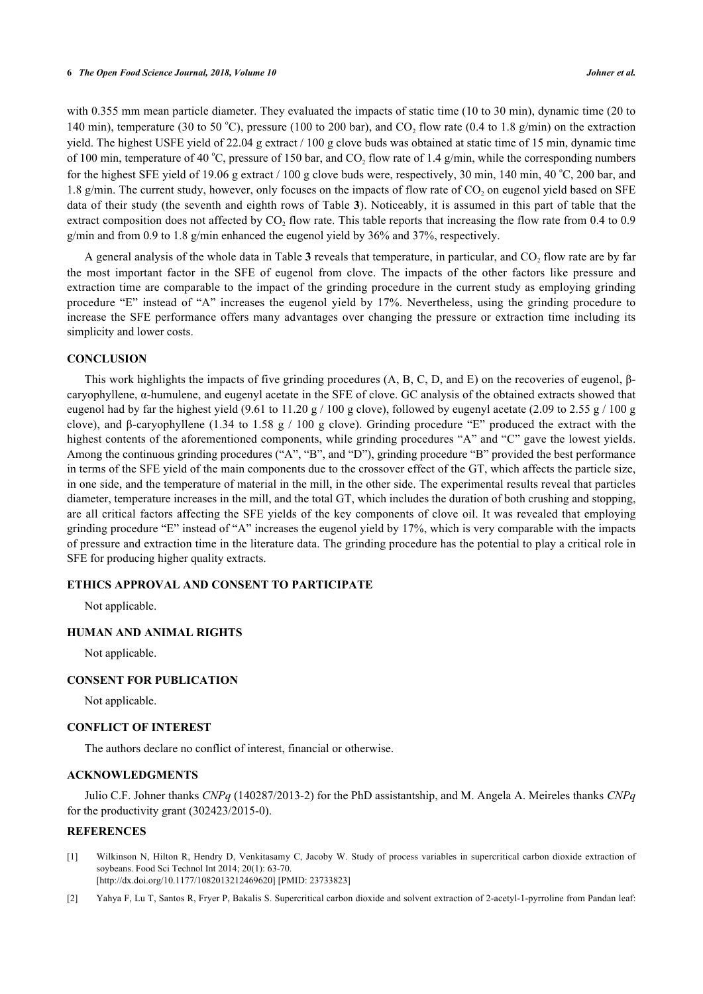with 0.355 mm mean particle diameter. They evaluated the impacts of static time (10 to 30 min), dynamic time (20 to 140 min), temperature (30 to 50 °C), pressure (100 to 200 bar), and  $CO_2$  flow rate (0.4 to 1.8 g/min) on the extraction yield. The highest USFE yield of 22.04 g extract / 100 g clove buds was obtained at static time of 15 min, dynamic time of 100 min, temperature of 40 °C, pressure of 150 bar, and  $CO_2$  flow rate of 1.4 g/min, while the corresponding numbers for the highest SFE yield of 19.06 g extract / 100 g clove buds were, respectively, 30 min, 140 min, 40 °C, 200 bar, and 1.8 g/min. The current study, however, only focuses on the impacts of flow rate of  $CO_2$  on eugenol yield based on SFE data of their study (the seventh and eighth rows of Table **[3](#page-4-1)**). Noticeably, it is assumed in this part of table that the extract composition does not affected by  $CO_2$  flow rate. This table reports that increasing the flow rate from 0.4 to 0.9 g/min and from 0.9 to 1.8 g/min enhanced the eugenol yield by 36% and 37%, respectively.

A general analysis of the whole data in Table  $3$  reveals that temperature, in particular, and  $CO<sub>2</sub>$  flow rate are by far the most important factor in the SFE of eugenol from clove. The impacts of the other factors like pressure and extraction time are comparable to the impact of the grinding procedure in the current study as employing grinding procedure "E" instead of "A" increases the eugenol yield by 17%. Nevertheless, using the grinding procedure to increase the SFE performance offers many advantages over changing the pressure or extraction time including its simplicity and lower costs.

## **CONCLUSION**

This work highlights the impacts of five grinding procedures  $(A, B, C, D, and E)$  on the recoveries of eugenol, βcaryophyllene, α-humulene, and eugenyl acetate in the SFE of clove. GC analysis of the obtained extracts showed that eugenol had by far the highest yield (9.61 to 11.20 g / 100 g clove), followed by eugenyl acetate (2.09 to 2.55 g / 100 g clove), and β-caryophyllene (1.34 to 1.58 g / 100 g clove). Grinding procedure "E" produced the extract with the highest contents of the aforementioned components, while grinding procedures "A" and "C" gave the lowest yields. Among the continuous grinding procedures ("A", "B", and "D"), grinding procedure "B" provided the best performance in terms of the SFE yield of the main components due to the crossover effect of the GT, which affects the particle size, in one side, and the temperature of material in the mill, in the other side. The experimental results reveal that particles diameter, temperature increases in the mill, and the total GT, which includes the duration of both crushing and stopping, are all critical factors affecting the SFE yields of the key components of clove oil. It was revealed that employing grinding procedure "E" instead of "A" increases the eugenol yield by 17%, which is very comparable with the impacts of pressure and extraction time in the literature data. The grinding procedure has the potential to play a critical role in SFE for producing higher quality extracts.

#### **ETHICS APPROVAL AND CONSENT TO PARTICIPATE**

Not applicable.

#### **HUMAN AND ANIMAL RIGHTS**

Not applicable.

#### **CONSENT FOR PUBLICATION**

Not applicable.

#### **CONFLICT OF INTEREST**

The authors declare no conflict of interest, financial or otherwise.

#### **ACKNOWLEDGMENTS**

Julio C.F. Johner thanks *CNPq* (140287/2013-2) for the PhD assistantship, and M. Angela A. Meireles thanks *CNPq* for the productivity grant (302423/2015-0).

#### **REFERENCES**

- <span id="page-5-0"></span>[1] Wilkinson N, Hilton R, Hendry D, Venkitasamy C, Jacoby W. Study of process variables in supercritical carbon dioxide extraction of soybeans. Food Sci Technol Int 2014; 20(1): 63-70. [\[http://dx.doi.org/10.1177/1082013212469620\]](http://dx.doi.org/10.1177/1082013212469620) [PMID: [23733823](http://www.ncbi.nlm.nih.gov/pubmed/23733823)]
- <span id="page-5-1"></span>[2] Yahya F, Lu T, Santos R, Fryer P, Bakalis S. Supercritical carbon dioxide and solvent extraction of 2-acetyl-1-pyrroline from Pandan leaf: